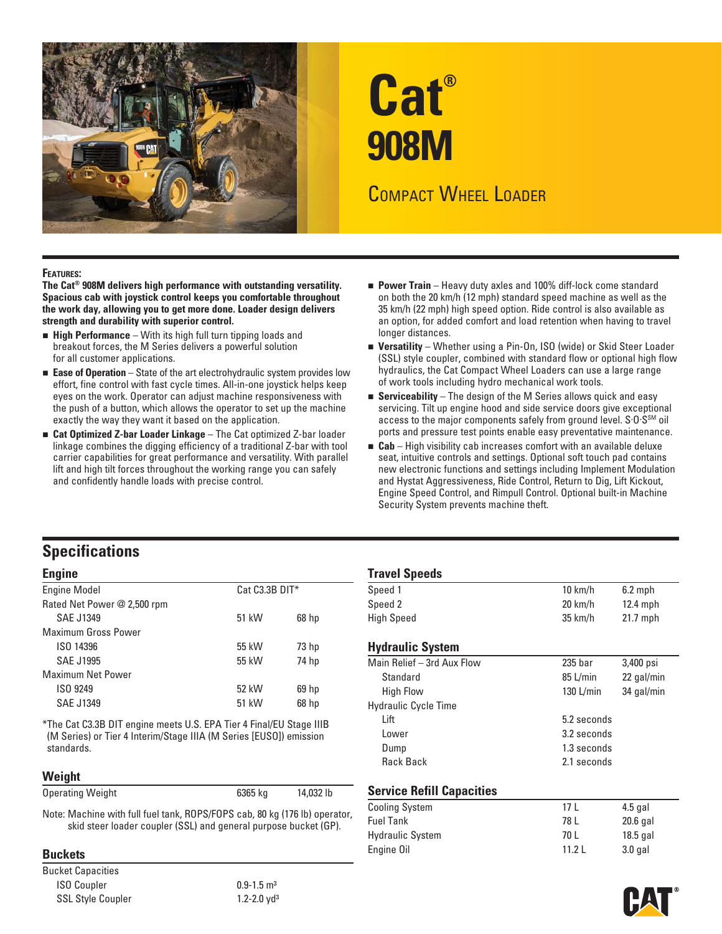

# **Cat® 908M**

## COMPACT WHEEL LOADER

#### **FEATURES:**

**The Cat® 908M delivers high performance with outstanding versatility. Spacious cab with joystick control keeps you comfortable throughout the work day, allowing you to get more done. Loader design delivers strength and durability with superior control.** 

- **High Performance** With its high full turn tipping loads and breakout forces, the M Series delivers a powerful solution for all customer applications.
- **Ease of Operation** State of the art electrohydraulic system provides low effort, fine control with fast cycle times. All-in-one joystick helps keep eyes on the work. Operator can adjust machine responsiveness with the push of a button, which allows the operator to set up the machine exactly the way they want it based on the application.
- **Cat Optimized Z-bar Loader Linkage** The Cat optimized Z-bar loader linkage combines the digging efficiency of a traditional Z-bar with tool carrier capabilities for great performance and versatility. With parallel lift and high tilt forces throughout the working range you can safely and confidently handle loads with precise control.
- **Power Train** Heavy duty axles and 100% diff-lock come standard on both the 20 km/h (12 mph) standard speed machine as well as the 35 km/h (22 mph) high speed option. Ride control is also available as an option, for added comfort and load retention when having to travel longer distances.
- **Versatility** Whether using a Pin-On, ISO (wide) or Skid Steer Loader (SSL) style coupler, combined with standard flow or optional high flow hydraulics, the Cat Compact Wheel Loaders can use a large range of work tools including hydro mechanical work tools.
- **Serviceability** The design of the M Series allows quick and easy servicing. Tilt up engine hood and side service doors give exceptional access to the major components safely from ground level. S.O.S<sup>SM</sup> oil ports and pressure test points enable easy preventative maintenance.
- **Cab** High visibility cab increases comfort with an available deluxe seat, intuitive controls and settings. Optional soft touch pad contains new electronic functions and settings including Implement Modulation and Hystat Aggressiveness, Ride Control, Return to Dig, Lift Kickout, Engine Speed Control, and Rimpull Control. Optional built-in Machine Security System prevents machine theft.

### **Specifications**

| <b>Engine Model</b>         | $Cat C3.3B DIT*$ |                  | Speed 1                     | $10 \text{ km/h}$  | $6.2$ mph  |
|-----------------------------|------------------|------------------|-----------------------------|--------------------|------------|
| Rated Net Power @ 2,500 rpm |                  |                  | Speed 2                     | $20 \text{ km/h}$  | $12.4$ mph |
| SAE J1349                   | 51 kW            | 68 <sub>hp</sub> | <b>High Speed</b>           | $35 \text{ km/h}$  | $21.7$ mph |
| <b>Maximum Gross Power</b>  |                  |                  |                             |                    |            |
| ISO 14396                   | 55 kW            | 73 <sub>hp</sub> | <b>Hydraulic System</b>     |                    |            |
| <b>SAE J1995</b>            | 55 kW            | 74 hp            | Main Relief - 3rd Aux Flow  | 235 <sub>bar</sub> | 3,400 psi  |
| <b>Maximum Net Power</b>    |                  |                  | Standard                    | $85$ L/min         | 22 gal/mi  |
| ISO 9249                    | 52 kW            | 69 hp            | <b>High Flow</b>            | $130$ L/min        | 34 gal/mi  |
| <b>SAE J1349</b>            | 51 kW            | 68 <sub>hp</sub> | <b>Hydraulic Cycle Time</b> |                    |            |
|                             |                  |                  |                             |                    |            |

\*The Cat C3.3B DIT engine meets U.S. EPA Tier 4 Final/EU Stage IIIB (M Series) or Tier 4 Interim/Stage IIIA (M Series [EUSO]) emission standards. standards. Dump 1.3 seconds

#### **Weight**

| <b>Operating Weight</b> | 6365 kg | 14,032 lb |  |
|-------------------------|---------|-----------|--|
|-------------------------|---------|-----------|--|

Bucket Capacities ISO Coupler 0.9-1.5 m<sup>3</sup> SSL Style Coupler 1.2-2.0 yd<sup>3</sup>

| <b>Engine</b>                                                       |                |                  | <b>Travel Speeds</b>        |                    |            |
|---------------------------------------------------------------------|----------------|------------------|-----------------------------|--------------------|------------|
| <b>Engine Model</b>                                                 | Cat C3.3B DIT* |                  | Speed 1                     | $10 \text{ km/h}$  | $6.2$ mph  |
| Rated Net Power @ 2,500 rpm                                         |                |                  | Speed 2                     | $20 \text{ km/h}$  | $12.4$ mph |
| SAE J1349                                                           | 51 kW          | $68$ hp          | <b>High Speed</b>           | $35 \text{ km/h}$  | $21.7$ mph |
| Maximum Gross Power                                                 |                |                  |                             |                    |            |
| ISO 14396                                                           | 55 kW          | 73 <sub>hp</sub> | <b>Hydraulic System</b>     |                    |            |
| SAE J1995                                                           | 55 kW          | 74 hp            | Main Relief - 3rd Aux Flow  | 235 <sub>bar</sub> | 3,400 psi  |
| Maximum Net Power                                                   |                |                  | Standard                    | 85 L/min           | 22 gal/min |
| ISO 9249                                                            | 52 kW          | 69 <sub>hp</sub> | <b>High Flow</b>            | $130$ L/min        | 34 gal/min |
| SAE J1349                                                           | 51 kW          | 68 <sub>hp</sub> | <b>Hydraulic Cycle Time</b> |                    |            |
| *The Cat C3.3B DIT engine meets U.S. EPA Tier 4 Final/EU Stage IIIB |                |                  | Lift                        | 5.2 seconds        |            |
| (M Series) or Tier 4 Interim/Stage IIIA (M Series [EUSO]) emission  |                |                  | Lower                       | 3.2 seconds        |            |
| standards.                                                          |                |                  | Dump                        | 1.3 seconds        |            |

#### **Service Refill Capacities**

| oporating rroignt                                                                                                                              | . .,                  |                         |           |            |  |
|------------------------------------------------------------------------------------------------------------------------------------------------|-----------------------|-------------------------|-----------|------------|--|
|                                                                                                                                                | <b>Cooling System</b> |                         | $4.5$ gal |            |  |
| Note: Machine with full fuel tank, ROPS/FOPS cab, 80 kg (176 lb) operator,<br>skid steer loader coupler (SSL) and general purpose bucket (GP). |                       | <b>Fuel Tank</b>        | 78 L      | $20.6$ gal |  |
|                                                                                                                                                |                       | <b>Hydraulic System</b> | 70 L      | $18.5$ gal |  |
| <b>Buckets</b>                                                                                                                                 |                       | Engine Oil              | 11.2 L    | 3.0 gal    |  |
|                                                                                                                                                |                       |                         |           |            |  |

Rack Back 2.1 seconds

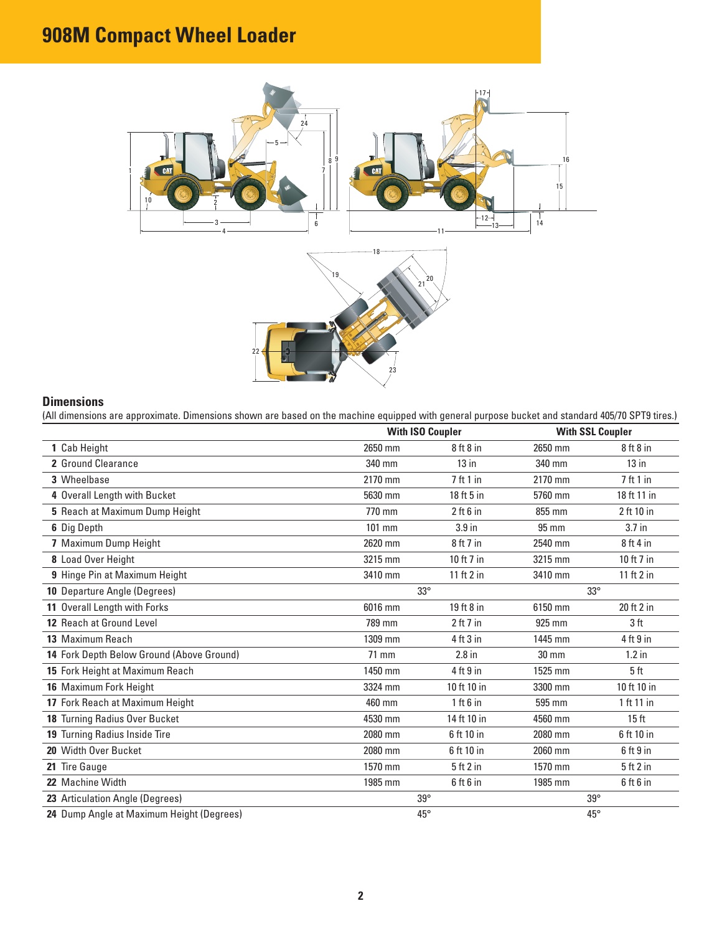# **908M Compact Wheel Loader**



#### **Dimensions**

(All dimensions are approximate. Dimensions shown are based on the machine equipped with general purpose bucket and standard 405/70 SPT9 tires.)

|                                           |              | <b>With ISO Coupler</b> |              | <b>With SSL Coupler</b> |
|-------------------------------------------|--------------|-------------------------|--------------|-------------------------|
| 1 Cab Height                              | 2650 mm      | $8$ ft $8$ in           | 2650 mm      | $8$ ft $8$ in           |
| 2 Ground Clearance                        | 340 mm       | $13$ in                 | 340 mm       | $13$ in                 |
| 3 Wheelbase                               | 2170 mm      | 7ft1in                  | 2170 mm      | 7ft1in                  |
| 4 Overall Length with Bucket              | 5630 mm      | 18 ft 5 in              | 5760 mm      | 18 ft 11 in             |
| 5 Reach at Maximum Dump Height            | 770 mm       | $2$ ft $6$ in           | 855 mm       | 2 ft 10 in              |
| 6 Dig Depth                               | $101$ mm     | 3.9 <sub>in</sub>       | 95 mm        | $3.7$ in                |
| 7 Maximum Dump Height                     | 2620 mm      | $8$ ft $7$ in           | 2540 mm      | 8ft4in                  |
| 8 Load Over Height                        | 3215 mm      | 10 ft 7 in              | 3215 mm      | 10 ft 7 in              |
| 9 Hinge Pin at Maximum Height             | 3410 mm      | 11 ft 2 in              | 3410 mm      | 11 ft 2 in              |
| 10 Departure Angle (Degrees)              | $33^\circ$   |                         | $33^\circ$   |                         |
| 11 Overall Length with Forks              | 6016 mm      | 19 ft 8 in              | 6150 mm      | 20 ft 2 in              |
| 12 Reach at Ground Level                  | 789 mm       | $2$ ft 7 in             | 925 mm       | 3 <sub>ft</sub>         |
| 13 Maximum Reach                          | 1309 mm      | $4$ ft $3$ in           | 1445 mm      | $4$ ft $9$ in           |
| 14 Fork Depth Below Ground (Above Ground) | 71 mm        | $2.8$ in                | 30 mm        | $1.2$ in                |
| 15 Fork Height at Maximum Reach           | 1450 mm      | $4$ ft $9$ in           | 1525 mm      | 5 <sub>ft</sub>         |
| 16 Maximum Fork Height                    | 3324 mm      | 10 ft 10 in             | 3300 mm      | 10 ft 10 in             |
| 17 Fork Reach at Maximum Height           | 460 mm       | $1$ ft $6$ in           | 595 mm       | 1 ft 11 in              |
| 18 Turning Radius Over Bucket             | 4530 mm      | 14 ft 10 in             | 4560 mm      | 15 <sub>ft</sub>        |
| 19 Turning Radius Inside Tire             | 2080 mm      | 6 ft 10 in              | 2080 mm      | 6 ft 10 in              |
| 20 Width Over Bucket                      | 2080 mm      | 6 ft 10 in              | 2060 mm      | $6$ ft $9$ in           |
| 21 Tire Gauge                             | 1570 mm      | $5$ ft $2$ in           | 1570 mm      | 5ft2in                  |
| 22 Machine Width                          | 1985 mm      | $6$ ft $6$ in           | 1985 mm      | $6$ ft $6$ in           |
| 23 Articulation Angle (Degrees)           | $39^\circ$   |                         | $39^\circ$   |                         |
| 24 Dump Angle at Maximum Height (Degrees) | $45^{\circ}$ |                         | $45^{\circ}$ |                         |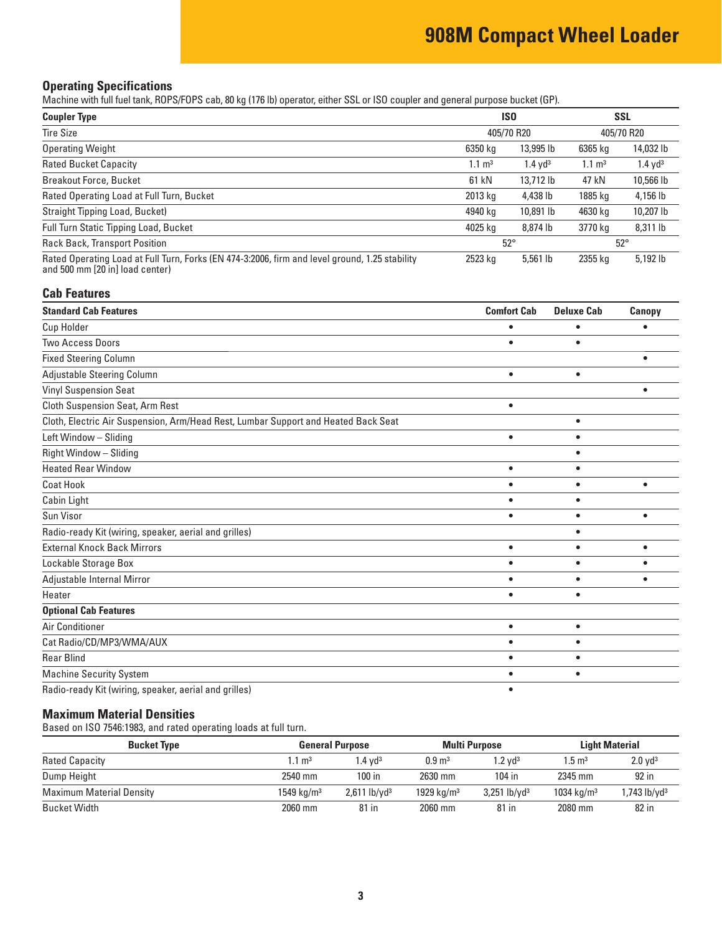#### **Operating Specifications**

Machine with full fuel tank, ROPS/FOPS cab, 80 kg (176 lb) operator, either SSL or ISO coupler and general purpose bucket (GP).

| <b>Coupler Type</b>                                                                                                               | <b>ISO</b>        |                       | <b>SSL</b>        |                     |
|-----------------------------------------------------------------------------------------------------------------------------------|-------------------|-----------------------|-------------------|---------------------|
| <b>Tire Size</b>                                                                                                                  |                   | 405/70 R20            |                   | 405/70 R20          |
| <b>Operating Weight</b>                                                                                                           | 6350 kg           | 13,995 lb             | 6365 kg           | 14,032 lb           |
| <b>Rated Bucket Capacity</b>                                                                                                      | $1.1 \text{ m}^3$ | $1.4$ yd <sup>3</sup> | $1.1 \text{ m}^3$ | 1.4 yd <sup>3</sup> |
| <b>Breakout Force, Bucket</b>                                                                                                     | 61 kN             | 13.712 lb             | 47 kN             | 10,566 lb           |
| Rated Operating Load at Full Turn, Bucket                                                                                         | 2013 kg           | 4,438 lb              | 1885 kg           | 4,156 lb            |
| Straight Tipping Load, Bucket)                                                                                                    | 4940 kg           | 10,891 lb             | 4630 kg           | 10,207 lb           |
| Full Turn Static Tipping Load, Bucket                                                                                             | 4025 kg           | 8,874 lb              | 3770 kg           | 8,311 lb            |
| <b>Rack Back, Transport Position</b>                                                                                              |                   | $52^{\circ}$          |                   | $52^\circ$          |
| Rated Operating Load at Full Turn, Forks (EN 474-3:2006, firm and level ground, 1.25 stability<br>and 500 mm [20 in] load center) | 2523 kg           | $5,561$ lb            | 2355 kg           | $5,192$ lb          |

#### **Cab Features**

| <b>Standard Cab Features</b>                                                       | <b>Comfort Cab</b> | <b>Deluxe Cab</b> | Canopy    |
|------------------------------------------------------------------------------------|--------------------|-------------------|-----------|
| <b>Cup Holder</b>                                                                  |                    |                   |           |
| <b>Two Access Doors</b>                                                            | $\bullet$          | ٠                 |           |
| <b>Fixed Steering Column</b>                                                       |                    |                   | ٠         |
| Adjustable Steering Column                                                         | $\bullet$          | $\bullet$         |           |
| <b>Vinyl Suspension Seat</b>                                                       |                    |                   |           |
| <b>Cloth Suspension Seat, Arm Rest</b>                                             | $\bullet$          |                   |           |
| Cloth, Electric Air Suspension, Arm/Head Rest, Lumbar Support and Heated Back Seat |                    | $\bullet$         |           |
| Left Window - Sliding                                                              | $\bullet$          | $\bullet$         |           |
| Right Window - Sliding                                                             |                    | $\bullet$         |           |
| <b>Heated Rear Window</b>                                                          | $\bullet$          | $\bullet$         |           |
| <b>Coat Hook</b>                                                                   | $\bullet$          | $\bullet$         | $\bullet$ |
| Cabin Light                                                                        |                    | $\bullet$         |           |
| Sun Visor                                                                          | $\bullet$          | ٠                 | $\bullet$ |
| Radio-ready Kit (wiring, speaker, aerial and grilles)                              |                    | $\bullet$         |           |
| <b>External Knock Back Mirrors</b>                                                 | $\bullet$          | ٠                 | $\bullet$ |
| Lockable Storage Box                                                               | $\bullet$          | $\bullet$         |           |
| Adjustable Internal Mirror                                                         | $\bullet$          | $\bullet$         |           |
| Heater                                                                             | $\bullet$          | ٠                 |           |
| <b>Optional Cab Features</b>                                                       |                    |                   |           |
| Air Conditioner                                                                    | $\bullet$          | $\bullet$         |           |
| Cat Radio/CD/MP3/WMA/AUX                                                           | $\bullet$          | ٠                 |           |
| <b>Rear Blind</b>                                                                  |                    | $\bullet$         |           |
| <b>Machine Security System</b>                                                     |                    | ٠                 |           |
| Radio-ready Kit (wiring, speaker, aerial and grilles)                              |                    |                   |           |

#### **Maximum Material Densities**

Based on ISO 7546:1983, and rated operating loads at full turn.

| <b>Bucket Type</b>              |                       | <b>General Purpose</b>        |                        | Multi Purpose              |                        | <b>Light Material</b>   |  |
|---------------------------------|-----------------------|-------------------------------|------------------------|----------------------------|------------------------|-------------------------|--|
| <b>Rated Capacity</b>           | $1.1 \text{ m}^3$     | $\mathsf{1.4}\;\mathsf{vd^3}$ | $0.9 \text{ m}^3$      | $1.2$ vd $^3$              | $1.5 \text{ m}^3$      | $2.0$ yd <sup>3</sup>   |  |
| Dump Height                     | 2540 mm               | $100$ in                      | 2630 mm                | 104 in                     | 2345 mm                | 92 in                   |  |
| <b>Maximum Material Density</b> | $1549 \text{ kg/m}^3$ | $2,611$ lb/yd <sup>3</sup>    | 1929 kg/m <sup>3</sup> | $3.251$ lb/vd <sup>3</sup> | 1034 kg/m <sup>3</sup> | .743 lb/yd <sup>3</sup> |  |
| Bucket Width                    | 2060 mm               | 81 in                         | 2060 mm                | 81 in                      | 2080 mm                | 82 in                   |  |